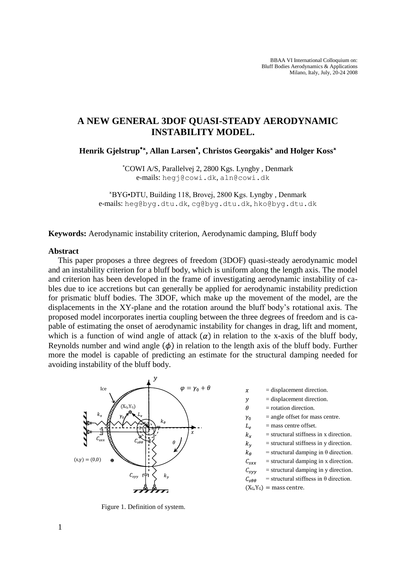BBAA VI International Colloquium on: Bluff Bodies Aerodynamics & Applications Milano, Italy, July, 20-24 2008

# **A NEW GENERAL 3DOF QUASI-STEADY AERODYNAMIC INSTABILITY MODEL.**

**Henrik Gjelstrup , Allan Larsen , Christos Georgakis and Holger Koss**

COWI A/S, Parallelvej 2, 2800 Kgs. Lyngby , Denmark e-mails: [hegj@cowi.dk](mailto:hegj@cowi.dk), [aln@cowi.dk](mailto:aln@cowi.dk)

BYG•DTU, Building 118, Brovej, 2800 Kgs. Lyngby , Denmark e-mails: [heg@byg.dtu.dk](mailto:heg@byg.dtu.dk), [cg@byg.dtu.dk](mailto:cg@byg.dtu.dk), [hko@byg.dtu.dk](mailto:hko@byg.dtu.dk)

**Keywords:** Aerodynamic instability criterion, Aerodynamic damping, Bluff body

# **Abstract**

This paper proposes a three degrees of freedom (3DOF) quasi-steady aerodynamic model and an instability criterion for a bluff body, which is uniform along the length axis. The model and criterion has been developed in the frame of investigating aerodynamic instability of cables due to ice accretions but can generally be applied for aerodynamic instability prediction for prismatic bluff bodies. The 3DOF, which make up the movement of the model, are the displacements in the XY-plane and the rotation around the bluff body's rotational axis. The proposed model incorporates inertia coupling between the three degrees of freedom and is capable of estimating the onset of aerodynamic instability for changes in drag, lift and moment, which is a function of wind angle of attack  $(\alpha)$  in relation to the x-axis of the bluff body, Reynolds number and wind angle  $(\phi)$  in relation to the length axis of the bluff body. Further more the model is capable of predicting an estimate for the structural damping needed for avoiding instability of the bluff body.



<span id="page-0-0"></span>Figure 1. Definition of system.

- = displacement direction.
- = displacement direction.
- = rotation direction.

 $\mathbf{x}$  $\mathcal{Y}$  $\theta$ 

 $L_e$  $k_{x}$ 

- $\gamma_0$  $=$  angle offset for mass centre.
	- $=$  mass centre offset.
	- = structural stiffness in x direction.
- = structural stiffness in y direction.  $k_v$
- $=$  structural damping in  $\theta$  direction.  $k_{\theta}$
- $=$  structural damping in x direction.  $\mathcal{C}_{sxx}$
- = structural damping in y direction.  $\mathcal{C}_{svv}$
- $=$  structural stiffness in  $\theta$  direction.  $C_{\rm s\theta\theta}$

 $(X_G,Y_G)$  = mass centre.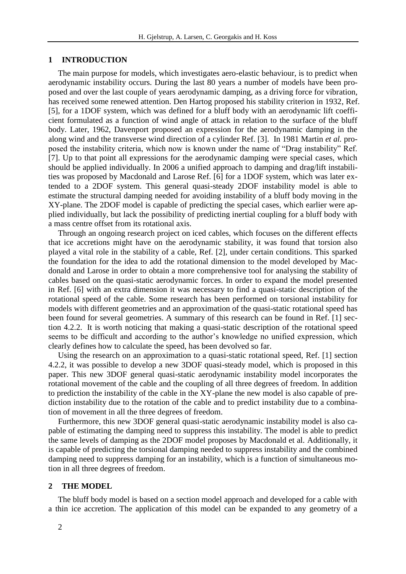## **1 INTRODUCTION**

The main purpose for models, which investigates aero-elastic behaviour, is to predict when aerodynamic instability occurs. During the last 80 years a number of models have been proposed and over the last couple of years aerodynamic damping, as a driving force for vibration, has received some renewed attention. Den Hartog proposed his stability criterion in 1932, Ref. [5], for a 1DOF system, which was defined for a bluff body with an aerodynamic lift coefficient formulated as a function of wind angle of attack in relation to the surface of the bluff body. Later, 1962, Davenport proposed an expression for the aerodynamic damping in the along wind and the transverse wind direction of a cylinder Ref. [3]. In 1981 Martin *et al.* proposed the instability criteria, which now is known under the name of "Drag instability" Ref. [7]. Up to that point all expressions for the aerodynamic damping were special cases, which should be applied individually. In 2006 a unified approach to damping and drag/lift instabilities was proposed by Macdonald and Larose Ref. [6] for a 1DOF system, which was later extended to a 2DOF system. This general quasi-steady 2DOF instability model is able to estimate the structural damping needed for avoiding instability of a bluff body moving in the XY-plane. The 2DOF model is capable of predicting the special cases, which earlier were applied individually, but lack the possibility of predicting inertial coupling for a bluff body with a mass centre offset from its rotational axis.

Through an ongoing research project on iced cables, which focuses on the different effects that ice accretions might have on the aerodynamic stability, it was found that torsion also played a vital role in the stability of a cable, Ref. [2], under certain conditions. This sparked the foundation for the idea to add the rotational dimension to the model developed by Macdonald and Larose in order to obtain a more comprehensive tool for analysing the stability of cables based on the quasi-static aerodynamic forces. In order to expand the model presented in Ref. [6] with an extra dimension it was necessary to find a quasi-static description of the rotational speed of the cable. Some research has been performed on torsional instability for models with different geometries and an approximation of the quasi-static rotational speed has been found for several geometries. A summary of this research can be found in Ref. [1] section 4.2.2. It is worth noticing that making a quasi-static description of the rotational speed seems to be difficult and according to the author's knowledge no unified expression, which clearly defines how to calculate the speed, has been devolved so far.

Using the research on an approximation to a quasi-static rotational speed, Ref. [1] section 4.2.2, it was possible to develop a new 3DOF quasi-steady model, which is proposed in this paper. This new 3DOF general quasi-static aerodynamic instability model incorporates the rotational movement of the cable and the coupling of all three degrees of freedom. In addition to prediction the instability of the cable in the XY-plane the new model is also capable of prediction instability due to the rotation of the cable and to predict instability due to a combination of movement in all the three degrees of freedom.

Furthermore, this new 3DOF general quasi-static aerodynamic instability model is also capable of estimating the damping need to suppress this instability. The model is able to predict the same levels of damping as the 2DOF model proposes by Macdonald et al. Additionally, it is capable of predicting the torsional damping needed to suppress instability and the combined damping need to suppress damping for an instability, which is a function of simultaneous motion in all three degrees of freedom.

#### **2 THE MODEL**

The bluff body model is based on a section model approach and developed for a cable with a thin ice accretion. The application of this model can be expanded to any geometry of a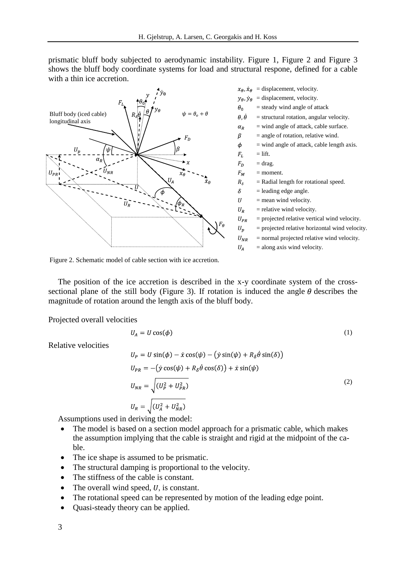prismatic bluff body subjected to aerodynamic instability. [Figure 1,](#page-0-0) [Figure 2](#page-2-0) and [Figure 3](#page-3-0) shows the bluff body coordinate systems for load and structural respone, defined for a cable with a thin ice accretion.



 $x_{\theta}$ ,  $\dot{x}_{\theta}$  = displacement, velocity.  $y_{\theta}$ ,  $\dot{y}_{\theta}$  = displacement, velocity. = steady wind angle of attack  $\theta.\dot{\theta}$ = structural rotation, angular velocity. = wind angle of attack, cable surface. = angle of rotation, relative wind. = wind angle of attack, cable length axis.  $=$  lift.  $=$  drag. = moment. = Radial length for rotational speed. = leading edge angle. = mean wind velocity. = relative wind velocity.  $U_{PR}$ = projected relative vertical wind velocity. = projected relative horizontal wind velocity.  $=$  normal projected relative wind velocity.  $U_{NR}$ 

= along axis wind velocity.

<span id="page-2-0"></span>Figure 2. Schematic model of cable section with ice accretion.

The position of the ice accretion is described in the x-y coordinate system of the cross-sectional plane of the still body [\(Figure 3\)](#page-3-0). If rotation is induced the angle  $\theta$  describes the magnitude of rotation around the length axis of the bluff body.

Projected overall velocities

Relative velocities

$$
U_A = U \cos(\phi)
$$
\n
$$
(1)
$$
\n
$$
U_P = U \sin(\phi) - \dot{x} \cos(\psi) - (\dot{y} \sin(\psi) + R_\delta \dot{\theta} \sin(\delta))
$$
\n
$$
U_{PR} = -(\dot{y} \cos(\psi) + R_\delta \dot{\theta} \cos(\delta)) + \dot{x} \sin(\psi)
$$
\n
$$
U_{NR} = \sqrt{(U_P^2 + U_{PR}^2)}
$$
\n
$$
U_R = \sqrt{(U_A^2 + U_{NR}^2)}
$$
\n(2)

Assumptions used in deriving the model:

- The model is based on a section model approach for a prismatic cable, which makes the assumption implying that the cable is straight and rigid at the midpoint of the cable.
- The ice shape is assumed to be prismatic.
- The structural damping is proportional to the velocity.
- The stiffness of the cable is constant.
- The overall wind speed,  $U$ , is constant.
- The rotational speed can be represented by motion of the leading edge point.
- Quasi-steady theory can be applied.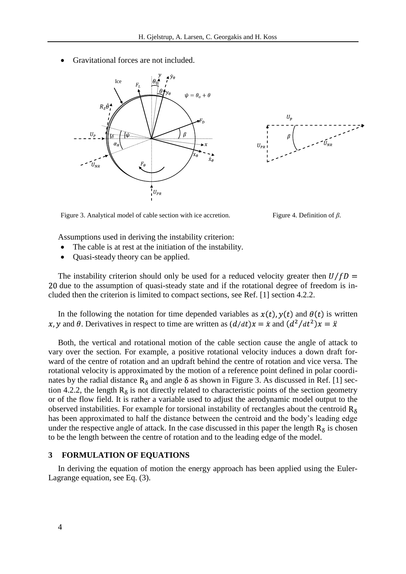Gravitational forces are not included.



<span id="page-3-0"></span>Figure 3. Analytical model of cable section with ice accretion. Figure 4. Definition of *β*.



Assumptions used in deriving the instability criterion:

- The cable is at rest at the initiation of the instability.
- Quasi-steady theory can be applied.

The instability criterion should only be used for a reduced velocity greater then  $U/fD =$ 20 due to the assumption of quasi-steady state and if the rotational degree of freedom is included then the criterion is limited to compact sections, see Ref. [1] section 4.2.2.

In the following the notation for time depended variables as  $x(t)$ ,  $y(t)$  and  $\theta(t)$  is written x, y and  $\theta$ . Derivatives in respect to time are written as  $(d/dt)x = \dot{x}$  and  $(d^2/dt^2)x = \ddot{x}$ 

Both, the vertical and rotational motion of the cable section cause the angle of attack to vary over the section. For example, a positive rotational velocity induces a down draft forward of the centre of rotation and an updraft behind the centre of rotation and vice versa. The rotational velocity is approximated by the motion of a reference point defined in polar coordinates by the radial distance  $R_{\delta}$  and angle  $\delta$  as shown in [Figure 3.](#page-3-0) As discussed in Ref. [1] section 4.2.2, the length  $R_{\delta}$  is not directly related to characteristic points of the section geometry or of the flow field. It is rather a variable used to adjust the aerodynamic model output to the observed instabilities. For example for torsional instability of rectangles about the centroid  $R_{\delta}$ has been approximated to half the distance between the centroid and the body's leading edge under the respective angle of attack. In the case discussed in this paper the length  $R_{\delta}$  is chosen to be the length between the centre of rotation and to the leading edge of the model.

## **3 FORMULATION OF EQUATIONS**

In deriving the equation of motion the energy approach has been applied using the Euler-Lagrange equation, see Eq. [\(3\).](#page-4-0)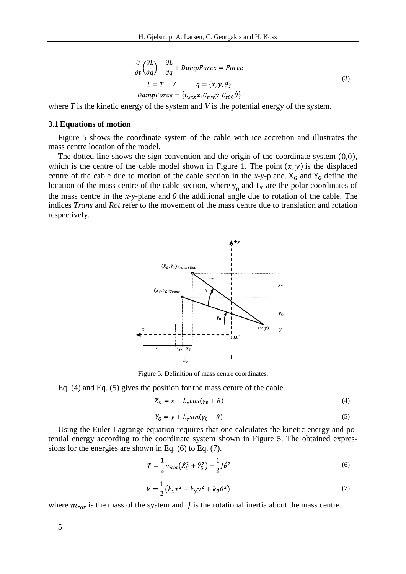<span id="page-4-0"></span>
$$
\frac{\partial}{\partial t} \left( \frac{\partial L}{\partial \dot{q}} \right) - \frac{\partial L}{\partial q} + DampForce = Force
$$
\n
$$
L = T - V \qquad q = \{x, y, \theta\}
$$
\n
$$
DampForce = \{C_{sxx} \dot{x}, C_{syy} \dot{y}, C_{s\theta\theta} \dot{\theta}\}
$$
\n(3)

where *T* is the kinetic energy of the system and *V* is the potential energy of the system.

## **3.1 Equations of motion**

[Figure 5](#page-4-1) shows the coordinate system of the cable with ice accretion and illustrates the mass centre location of the model.

The dotted line shows the sign convention and the origin of the coordinate system  $(0,0)$ , which is the centre of the cable model shown in [Figure 1.](#page-0-0) The point  $(x, y)$  is the displaced centre of the cable due to motion of the cable section in the *x*-*y*-plane.  $X_G$  and  $Y_G$  define the location of the mass centre of the cable section, where  $\gamma_0$  and  $L_e$  are the polar coordinates of the mass centre in the *x*-*y*-plane and  $\theta$  the additional angle due to rotation of the cable. The indices *Trans* and *Rot* refer to the movement of the mass centre due to translation and rotation respectively.



<span id="page-4-1"></span>Figure 5. Definition of mass centre coordinates.

Eq. [\(4\)](#page-4-2) and Eq. [\(5\)](#page-4-3) gives the position for the mass centre of the cable.

$$
X_G = x - L_e \cos(\gamma_0 + \theta) \tag{4}
$$

<span id="page-4-4"></span><span id="page-4-3"></span><span id="page-4-2"></span>
$$
Y_G = y + L_e \sin(\gamma_0 + \theta) \tag{5}
$$

Using the Euler-Lagrange equation requires that one calculates the kinetic energy and potential energy according to the coordinate system shown in [Figure 5.](#page-4-1) The obtained expressions for the energies are shown in Eq. [\(6\)](#page-4-4) to Eq. [\(7\).](#page-4-5)

$$
T = \frac{1}{2}m_{tot}(\dot{X}_G^2 + \dot{Y}_G^2) + \frac{1}{2}J\dot{\theta}^2
$$
\n(6)

<span id="page-4-5"></span>
$$
V = \frac{1}{2} (k_x x^2 + k_y y^2 + k_\theta \theta^2)
$$
 (7)

where  $m_{tot}$  is the mass of the system and  $\hat{J}$  is the rotational inertia about the mass centre.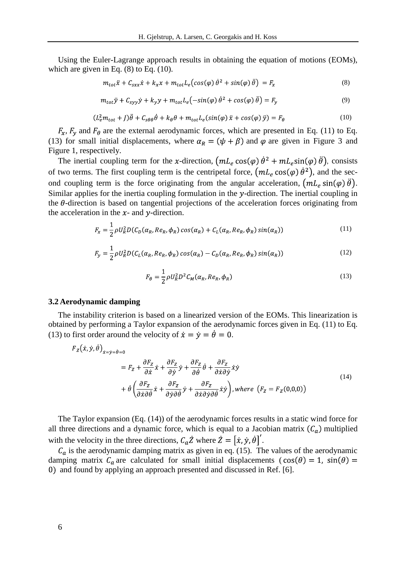Using the Euler-Lagrange approach results in obtaining the equation of motions (EOMs), which are given in Eq.  $(8)$  to Eq.  $(10)$ .

<span id="page-5-0"></span>
$$
m_{tot}\ddot{x} + C_{sxx}\dot{x} + k_x x + m_{tot}L_e(\cos(\varphi)\dot{\theta}^2 + \sin(\varphi)\ddot{\theta}) = F_x \tag{8}
$$

<span id="page-5-1"></span>
$$
m_{tot}\ddot{y} + C_{syy}\dot{y} + k_y y + m_{tot}L_e(-\sin(\varphi)\dot{\theta}^2 + \cos(\varphi)\ddot{\theta}) = F_y
$$
\n(9)

$$
(L_e^2 m_{tot} + J)\ddot{\theta} + C_{s\theta\theta}\dot{\theta} + k_{\theta}\theta + m_{tot}L_e(\sin(\varphi)\ddot{x} + \cos(\varphi)\ddot{y}) = F_{\theta}
$$
 (10)

 $F_x$ ,  $F_y$  and  $F_\theta$  are the external aerodynamic forces, which are presented in Eq. [\(11\)](#page-5-2) to Eq. [\(13\)](#page-5-3) for small initial displacements, where  $\alpha_R = (\psi + \beta)$  and  $\varphi$  are given in [Figure 3](#page-3-0) and [Figure 1,](#page-0-0) respectively.

The inertial coupling term for the x-direction,  $(mL_e \cos(\varphi) \dot{\theta}^2 + mL_e \sin(\varphi) \ddot{\theta})$ , consists of two terms. The first coupling term is the centripetal force,  $(mL_e \cos(\varphi) \dot{\theta}^2)$ , and the second coupling term is the force originating from the angular acceleration,  $(mL_e \sin(\varphi) \ddot{\theta})$ . Similar applies for the inertia coupling formulation in the y-direction. The inertial coupling in the  $\theta$ -direction is based on tangential projections of the acceleration forces originating from the acceleration in the  $x$ - and  $y$ -direction.

$$
F_x = \frac{1}{2} \rho U_R^2 D(C_D(\alpha_R, Re_R, \phi_R) \cos(\alpha_R) + C_L(\alpha_R, Re_R, \phi_R) \sin(\alpha_R))
$$
\n(11)

$$
F_y = \frac{1}{2} \rho U_R^2 D(C_L(\alpha_R, Re_R, \phi_R) \cos(\alpha_R) - C_D(\alpha_R, Re_R, \phi_R) \sin(\alpha_R))
$$
(12)

<span id="page-5-4"></span><span id="page-5-3"></span><span id="page-5-2"></span>
$$
F_{\theta} = \frac{1}{2} \rho U_R^2 D^2 C_M(\alpha_R, Re_R, \phi_R)
$$
\n(13)

#### **3.2 Aerodynamic damping**

The instability criterion is based on a linearized version of the EOMs. This linearization is obtained by performing a Taylor expansion of the aerodynamic forces given in Eq. [\(11\)](#page-5-2) to Eq. [\(13\)](#page-5-3) to first order around the velocity of  $\dot{x} = \dot{y} = \dot{\theta} = 0$ .

$$
F_Z(\dot{x}, \dot{y}, \theta)_{\dot{x} = \dot{y} = \dot{\theta} = 0}
$$
  
=  $F_Z + \frac{\partial F_Z}{\partial \dot{x}} \dot{x} + \frac{\partial F_Z}{\partial \dot{y}} \dot{y} + \frac{\partial F_Z}{\partial \dot{\theta}} \dot{\theta} + \frac{\partial F_Z}{\partial \dot{x} \partial \dot{y}} \dot{x} \dot{y}$   
+  $\dot{\theta} \left( \frac{\partial F_Z}{\partial \dot{x} \partial \dot{\theta}} \dot{x} + \frac{\partial F_Z}{\partial \dot{y} \partial \dot{\theta}} \dot{y} + \frac{\partial F_Z}{\partial \dot{x} \partial \dot{y} \partial \dot{\theta}} \dot{x} \dot{y} \right)$ , where  $(F_Z = F_Z(0,0,0))$  (14)

The Taylor expansion (Eq. [\(14\)\)](#page-5-4) of the aerodynamic forces results in a static wind force for all three directions and a dynamic force, which is equal to a Jacobian matrix  $(C_a)$  multiplied with the velocity in the three directions,  $C_a \dot{Z}$  where  $\dot{Z} = [\dot{x}, \dot{y}, \dot{\theta}]'$ .

 $C_a$  is the aerodynamic damping matrix as given in eq. [\(15\).](#page-6-0) The values of the aerodynamic damping matrix  $C_a$  are calculated for small initial displacements ( $cos(\theta) = 1$ ,  $sin(\theta) =$ and found by applying an approach presented and discussed in Ref. [6].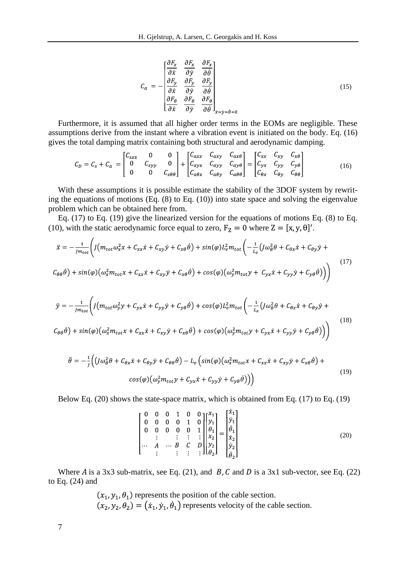<span id="page-6-1"></span><span id="page-6-0"></span>
$$
C_a = -\begin{bmatrix} \frac{\partial F_x}{\partial \dot{x}} & \frac{\partial F_x}{\partial \dot{y}} & \frac{\partial F_x}{\partial \dot{\theta}}\\ \frac{\partial F_y}{\partial \dot{x}} & \frac{\partial F_y}{\partial \dot{y}} & \frac{\partial F_y}{\partial \dot{\theta}}\\ \frac{\partial F_\theta}{\partial \dot{x}} & \frac{\partial F_\theta}{\partial \dot{y}} & \frac{\partial F_\theta}{\partial \dot{\theta}} \end{bmatrix}_{\dot{x} = \dot{y} = \dot{\theta} = 0}
$$
(15)

Furthermore, it is assumed that all higher order terms in the EOMs are negligible. These assumptions derive from the instant where a vibration event is initiated on the body. Eq. [\(16\)](#page-6-1) gives the total damping matrix containing both structural and aerodynamic damping.

$$
C_D = C_s + C_a = \begin{bmatrix} C_{sxx} & 0 & 0 \\ 0 & C_{syy} & 0 \\ 0 & 0 & C_{s\theta\theta} \end{bmatrix} + \begin{bmatrix} C_{axx} & C_{axy} & C_{ax\theta} \\ C_{ayx} & C_{ayy} & C_{ay\theta} \\ C_{a\theta x} & C_{a\theta y} & C_{a\theta\theta} \end{bmatrix} = \begin{bmatrix} C_{xx} & C_{xy} & C_{x\theta} \\ C_{yx} & C_{yy} & C_{y\theta} \\ C_{\theta x} & C_{\theta y} & C_{\theta\theta} \end{bmatrix} \tag{16}
$$

With these assumptions it is possible estimate the stability of the 3DOF system by rewriting the equations of motions (Eq. [\(8\)](#page-5-0) to Eq. [\(10\)\)](#page-5-1) into state space and solving the eigenvalue problem which can be obtained here from.

Eq. [\(17\)](#page-6-2) to Eq. [\(19\)](#page-6-3) give the linearized version for the equations of motions Eq. [\(8\)](#page-5-0) to Eq. [\(10\),](#page-5-1) with the static aerodynamic force equal to zero,  $F_z = 0$  where  $Z = [x, y, \theta]'$ .

$$
\ddot{x} = -\frac{1}{Jm_{tot}} \Biggl( J \Big( m_{tot} \omega_x^2 x + C_{xx} \dot{x} + C_{xy} \dot{y} + C_{x\theta} \dot{\theta} \Big) + \sin(\varphi) L_e^2 m_{tot} \Biggl( -\frac{1}{L_e} \Big( J \omega_\theta^2 \theta + C_{\theta x} \dot{x} + C_{\theta y} \dot{y} + C_{\theta \theta} \dot{\theta} \Biggr) + \sin(\varphi) \Big( \omega_x^2 m_{tot} x + C_{xx} \dot{x} + C_{xy} \dot{y} + C_{x\theta} \dot{\theta} \Big) + \cos(\varphi) \Big( \omega_y^2 m_{tot} y + C_{yx} \dot{x} + C_{yy} \dot{y} + C_{y\theta} \dot{\theta} \Big) \Biggr) \Biggr)
$$
\n(17)

$$
\ddot{y} = -\frac{1}{jm_{tot}} \Biggl( J \Big( m_{tot} \omega_y^2 y + C_{yx} \dot{x} + C_{yy} \dot{y} + C_{y\theta} \dot{\theta} \Big) + \cos(\varphi) L_e^2 m_{tot} \Biggl( -\frac{1}{L_e} \Big( J \omega_\theta^2 \theta + C_{\theta x} \dot{x} + C_{\theta y} \dot{y} + C_{\theta \theta} \dot{\theta} \Big) + \sin(\varphi) \Big( \omega_x^2 m_{tot} x + C_{xx} \dot{x} + C_{xy} \dot{y} + C_{x\theta} \dot{\theta} \Big) + \cos(\varphi) \Big( \omega_y^2 m_{tot} y + C_{yx} \dot{x} + C_{yy} \dot{y} + C_{y\theta} \dot{\theta} \Big) \Biggr) \Biggr)
$$
\n(18)

$$
\ddot{\theta} = -\frac{1}{J} \Big( \big( J\omega_{\theta}^{2} \theta + C_{\theta x} \dot{x} + C_{\theta y} \dot{y} + C_{\theta \theta} \dot{\theta} \Big) - L_{e} \Big( \sin(\varphi) \big( \omega_{x}^{2} m_{tot} x + C_{xx} \dot{x} + C_{xy} \dot{y} + C_{x \theta} \dot{\theta} \Big) + \cos(\varphi) \big( \omega_{y}^{2} m_{tot} y + C_{yx} \dot{x} + C_{yy} \dot{y} + C_{y \theta} \dot{\theta} \Big) \Big) \Big)
$$
(19)

Below Eq. [\(20\)](#page-6-4) shows the state-space matrix, which is obtained from Eq. [\(17\)](#page-6-2) to Eq. [\(19\)](#page-6-3)

<span id="page-6-4"></span><span id="page-6-3"></span><span id="page-6-2"></span>
$$
\begin{bmatrix}\n0 & 0 & 0 & 1 & 0 & 0 \\
0 & 0 & 0 & 0 & 1 & 0 \\
0 & 0 & 0 & 0 & 0 & 1 \\
\vdots & \vdots & \vdots & \vdots & \vdots \\
0 & A & \cdots & B & C & D \\
\vdots & \vdots & \vdots & \vdots & \vdots\n\end{bmatrix}\n\begin{bmatrix}\nx_1 \\
y_1 \\
\theta_1 \\
x_2 \\
y_2 \\
\vdots \\
\theta_2\n\end{bmatrix} = \n\begin{bmatrix}\n\dot{x}_1 \\
\dot{y}_1 \\
\dot{\theta}_1 \\
\dot{x}_2 \\
\dot{y}_2 \\
\vdots \\
\dot{\theta}_2\n\end{bmatrix}
$$
\n(20)

Where A is a 3x3 sub-matrix, see Eq. [\(21\),](#page-7-0) and B, C and D is a 3x1 sub-vector, see Eq. [\(22\)](#page-7-1) to Eq. [\(24\)](#page-7-2) and

> $(x_1, y_1, \theta_1)$  represents the position of the cable section.  $(x_2, y_2, \theta_2) = (x_1, y_1, \dot{\theta}_1)$  represents velocity of the cable section.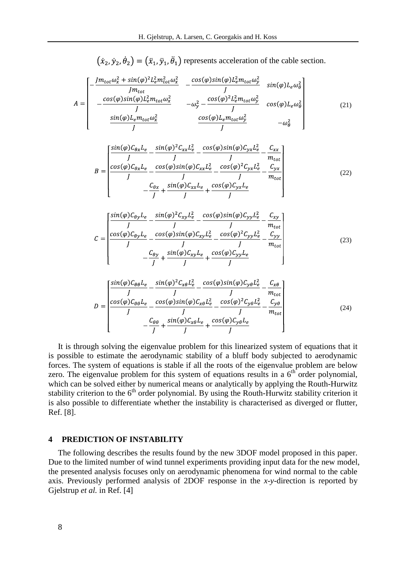<span id="page-7-0"></span> $(\dot{x}_2, \dot{y}_2, \dot{\theta}_2) = (\ddot{x}_1, \ddot{y}_1, \ddot{\theta}_1)$  represents acceleration of the cable section.

$$
A = \begin{bmatrix} -\frac{Jm_{tot}\omega_x^2 + \sin(\varphi)2L_e^2m_{tot}^2\omega_x^2}{Jm_{tot}} & -\frac{\cos(\varphi)\sin(\varphi)L_e^2m_{tot}\omega_y^2}{J} & \sin(\varphi)L_e\omega_\theta^2\\ -\frac{\cos(\varphi)\sin(\varphi)L_e^2m_{tot}\omega_x^2}{J} & -\omega_y^2 - \frac{\cos(\varphi)2L_e^2m_{tot}\omega_y^2}{J} & \cos(\varphi)L_e\omega_\theta^2\\ \frac{\sin(\varphi)L_e m_{tot}\omega_x^2}{J} & \frac{\cos(\varphi)L_e m_{tot}\omega_y^2}{J} & -\omega_\theta^2 \end{bmatrix}
$$
(21)

<span id="page-7-1"></span>
$$
B = \frac{\begin{bmatrix} \frac{\sin(\varphi)C_{\theta x}L_e}{J} - \frac{\sin(\varphi)^2 C_{xx}L_e^2}{J} - \frac{\cos(\varphi)\sin(\varphi)C_{yx}L_e^2}{J} - \frac{C_{xx}}{m_{tot}}\\ \frac{\cos(\varphi)C_{\theta x}L_e}{J} - \frac{\cos(\varphi)\sin(\varphi)C_{xx}L_e^2}{J} - \frac{\cos(\varphi)^2 C_{yx}L_e^2}{J} - \frac{C_{yx}}{m_{tot}}\\ -\frac{C_{\theta x}}{J} + \frac{\sin(\varphi)C_{xx}L_e}{J} + \frac{\cos(\varphi)C_{yx}L_e}{J} \end{bmatrix} \tag{22}
$$

$$
C = \frac{\left[\frac{\sin(\varphi)C_{\theta y}L_e}{J} - \frac{\sin(\varphi)^2 C_{xy}L_e^2}{J} - \frac{\cos(\varphi)\sin(\varphi)C_{yy}L_e^2}{J} - \frac{C_{xy}}{m_{tot}}\right]}{J}
$$
  

$$
C = \frac{\left[\frac{\cos(\varphi)C_{\theta y}L_e}{J} - \frac{\cos(\varphi)\sin(\varphi)C_{xy}L_e^2}{J} - \frac{\cos(\varphi)^2 C_{yy}L_e^2}{J} - \frac{C_{yy}}{m_{tot}}\right]}{J}
$$
(23)

<span id="page-7-2"></span>
$$
D = \frac{\left[\frac{\sin(\varphi)C_{\theta\theta}L_e}{J} - \frac{\sin(\varphi)^2 C_{\chi\theta}L_e^2}{J} - \frac{\cos(\varphi)\sin(\varphi)C_{\chi\theta}L_e^2}{J} - \frac{C_{\chi\theta}}{m_{tot}}\right]}{J} - \frac{\cos(\varphi)C_{\theta\theta}L_e}{J} - \frac{\cos(\varphi)\sin(\varphi)C_{\chi\theta}L_e^2}{J} - \frac{\cos(\varphi)^2 C_{\chi\theta}L_e^2}{J} - \frac{C_{\chi\theta}}{m_{tot}}\right}
$$
(24)

It is through solving the eigenvalue problem for this linearized system of equations that it is possible to estimate the aerodynamic stability of a bluff body subjected to aerodynamic forces. The system of equations is stable if all the roots of the eigenvalue problem are below zero. The eigenvalue problem for this system of equations results in a  $6<sup>th</sup>$  order polynomial, which can be solved either by numerical means or analytically by applying the Routh-Hurwitz stability criterion to the  $6<sup>th</sup>$  order polynomial. By using the Routh-Hurwitz stability criterion it is also possible to differentiate whether the instability is characterised as diverged or flutter, Ref. [8].

## **4 PREDICTION OF INSTABILITY**

The following describes the results found by the new 3DOF model proposed in this paper. Due to the limited number of wind tunnel experiments providing input data for the new model, the presented analysis focuses only on aerodynamic phenomena for wind normal to the cable axis. Previously performed analysis of 2DOF response in the *x-y-*direction is reported by Gjelstrup *et al.* in Ref. [4]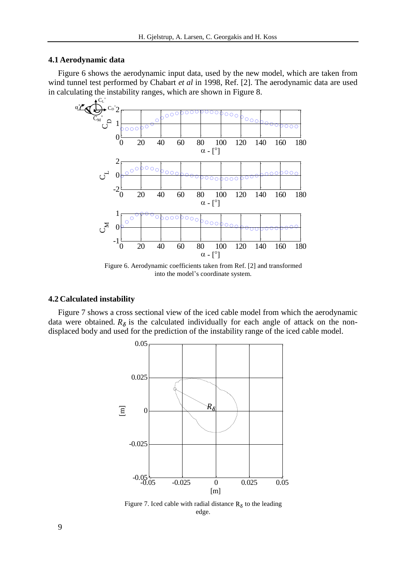#### **4.1 Aerodynamic data**

[Figure 6](#page-8-0) shows the aerodynamic input data, used by the new model, which are taken from wind tunnel test performed by Chabart *et al* in 1998, Ref. [2]. The aerodynamic data are used in calculating the instability ranges, which are shown in [Figure 8.](#page-9-0)



<span id="page-8-0"></span>Figure 6. Aerodynamic coefficients taken from Ref. [2] and transformed into the model's coordinate system.

## **4.2 Calculated instability**

[Figure 7](#page-8-1) shows a cross sectional view of the iced cable model from which the aerodynamic data were obtained.  $R_{\delta}$  is the calculated individually for each angle of attack on the nondisplaced body and used for the prediction of the instability range of the iced cable model.



<span id="page-8-1"></span>Figure 7. Iced cable with radial distance  $R_{\delta}$  to the leading edge.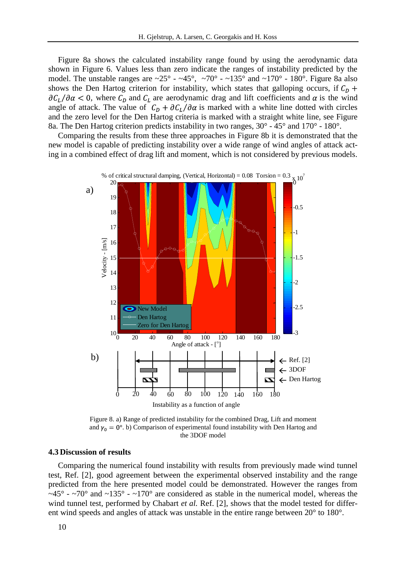[Figure 8a](#page-9-0) shows the calculated instability range found by using the aerodynamic data shown in [Figure 6.](#page-8-0) Values less than zero indicate the ranges of instability predicted by the model. The unstable ranges are  $\sim$ 25° -  $\sim$ 45°,  $\sim$ 70° -  $\sim$ 135° and  $\sim$ 170° - 180°. [Figure 8a](#page-9-0) also shows the Den Hartog criterion for instability, which states that galloping occurs, if  $C_p$  +  $\partial C_L/\partial \alpha$  < 0, where  $C_D$  and  $C_L$  are aerodynamic drag and lift coefficients and  $\alpha$  is the wind angle of attack. The value of  $C_D + \partial C_L / \partial \alpha$  is marked with a white line dotted with circles and the zero level for the Den Hartog criteria is marked with a straight white line, see [Figure](#page-9-0)  [8a](#page-9-0). The Den Hartog criterion predicts instability in two ranges, 30° - 45° and 170° - 180°.

Comparing the results from these three approaches in [Figure 8b](#page-9-0) it is demonstrated that the new model is capable of predicting instability over a wide range of wind angles of attack acting in a combined effect of drag lift and moment, which is not considered by previous models.



<span id="page-9-0"></span>Figure 8. a) Range of predicted instability for the combined Drag, Lift and moment and  $\gamma_0 = 0^\circ$ . b) Comparison of experimental found instability with Den Hartog and the 3DOF model

## **4.3 Discussion of results**

Comparing the numerical found instability with results from previously made wind tunnel test, Ref. [2], good agreement between the experimental observed instability and the range predicted from the here presented model could be demonstrated. However the ranges from  $\sim$ 45° -  $\sim$ 70° and  $\sim$ 135° -  $\sim$ 170° are considered as stable in the numerical model, whereas the wind tunnel test, performed by Chabart *et al.* Ref. [2], shows that the model tested for different wind speeds and angles of attack was unstable in the entire range between 20° to 180°.